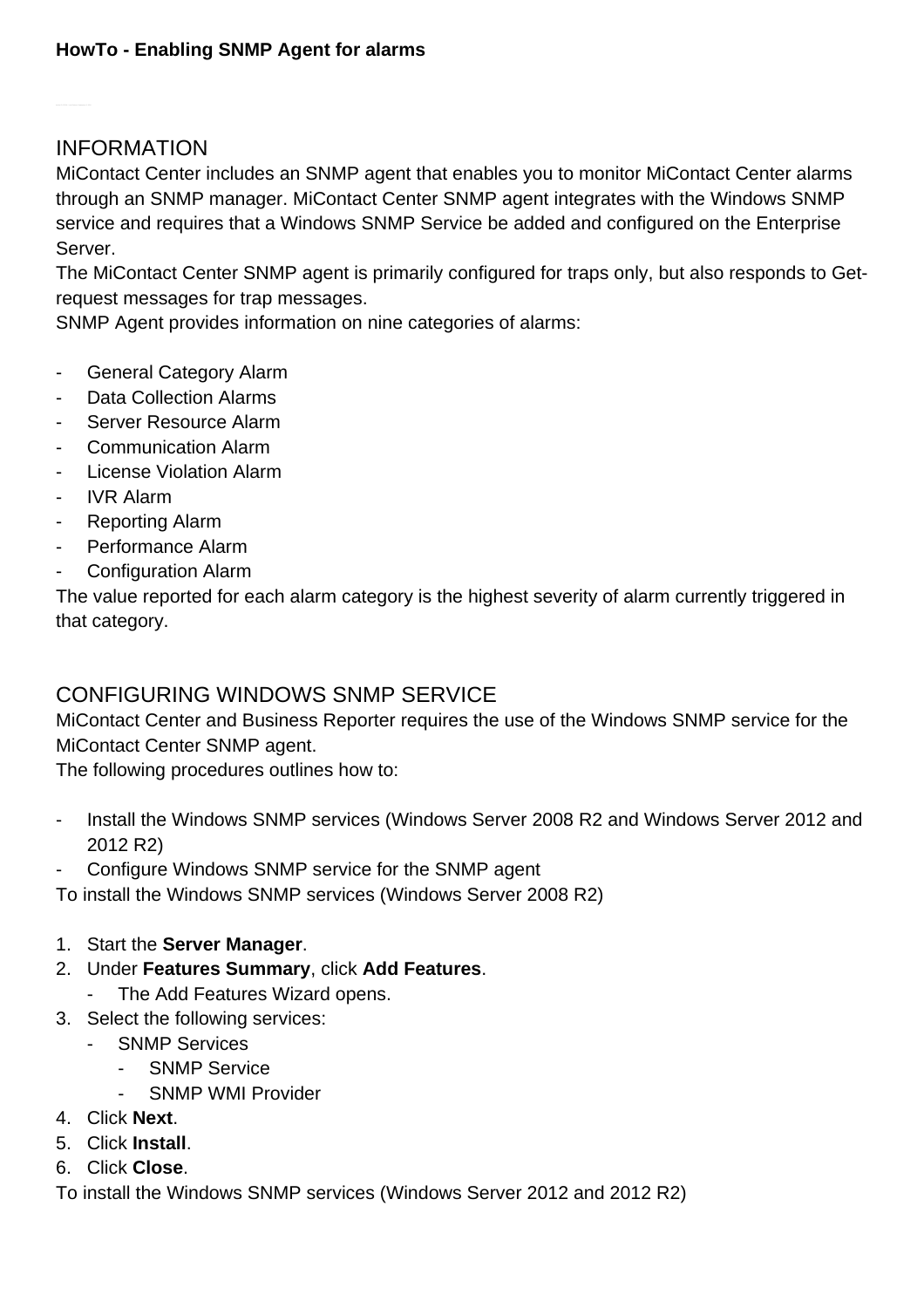## INFORMATION

MiContact Center includes an SNMP agent that enables you to monitor MiContact Center alarms through an SNMP manager. MiContact Center SNMP agent integrates with the Windows SNMP service and requires that a Windows SNMP Service be added and configured on the Enterprise Server.

The MiContact Center SNMP agent is primarily configured for traps only, but also responds to Getrequest messages for trap messages.

SNMP Agent provides information on nine categories of alarms:

- General Category Alarm
- Data Collection Alarms
- Server Resource Alarm
- Communication Alarm
- License Violation Alarm
- IVR Alarm
- Reporting Alarm
- Performance Alarm
- Configuration Alarm

The value reported for each alarm category is the highest severity of alarm currently triggered in that category.

## CONFIGURING WINDOWS SNMP SERVICE

MiContact Center and Business Reporter requires the use of the Windows SNMP service for the MiContact Center SNMP agent.

The following procedures outlines how to:

- Install the Windows SNMP services (Windows Server 2008 R2 and Windows Server 2012 and 2012 R2)
- Configure Windows SNMP service for the SNMP agent

To install the Windows SNMP services (Windows Server 2008 R2)

- 1. Start the **Server Manager**.
- 2. Under **Features Summary**, click **Add Features**.
	- The Add Features Wizard opens.
- 3. Select the following services:
	- SNMP Services
		- SNMP Service
		- SNMP WMI Provider
- 4. Click **Next**.
- 5. Click **Install**.
- 6. Click **Close**.

To install the Windows SNMP services (Windows Server 2012 and 2012 R2)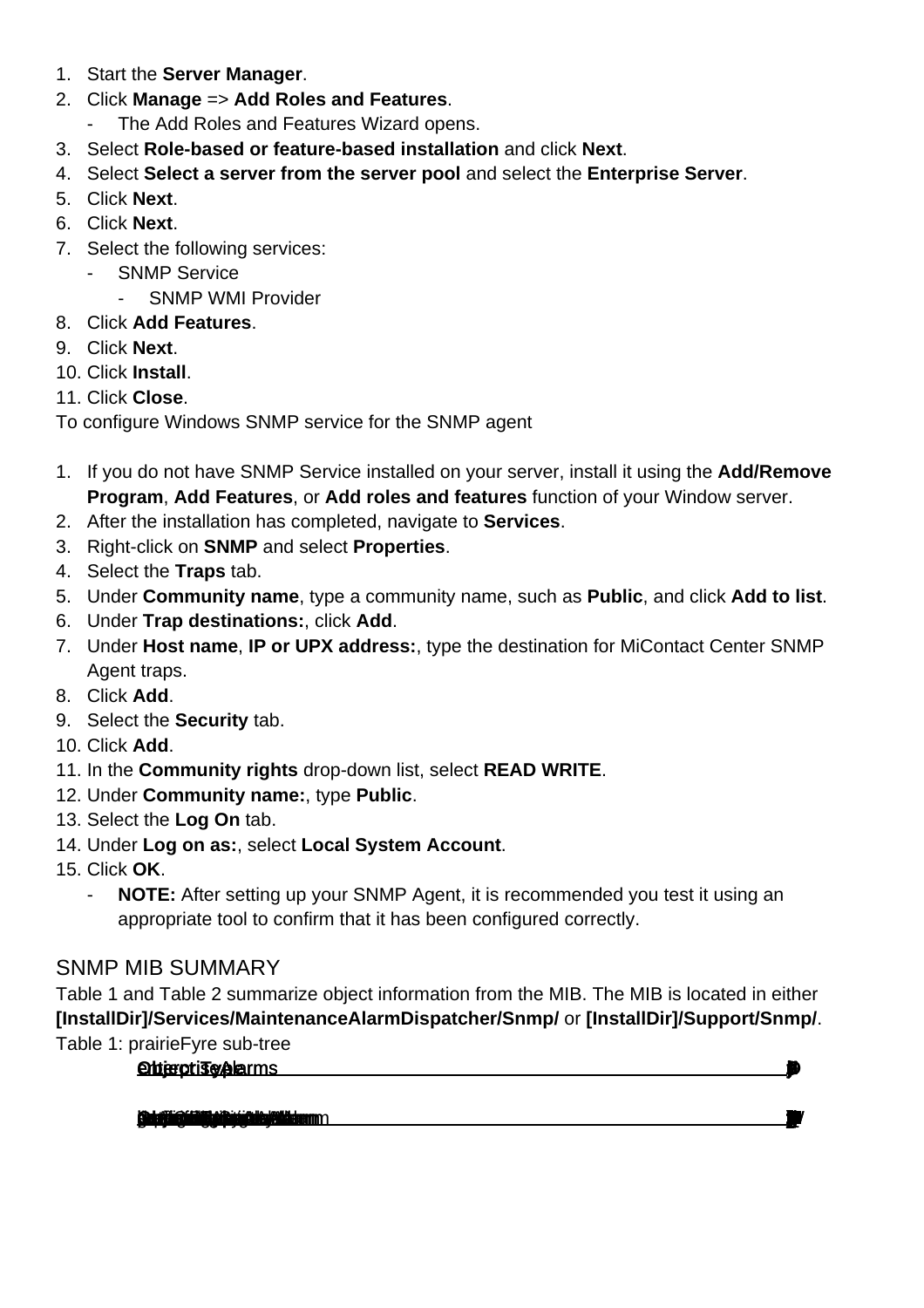- 1. Start the **Server Manager**.
- 2. Click **Manage** => **Add Roles and Features**.
	- The Add Roles and Features Wizard opens.
- 3. Select **Role-based or feature-based installation** and click **Next**.
- 4. Select **Select a server from the server pool** and select the **Enterprise Server**.
- 5. Click **Next**.
- 6. Click **Next**.
- 7. Select the following services:
	- SNMP Service
		- SNMP WMI Provider
- 8. Click **Add Features**.
- 9. Click **Next**.
- 10. Click **Install**.
- 11. Click **Close**.

To configure Windows SNMP service for the SNMP agent

- 1. If you do not have SNMP Service installed on your server, install it using the **Add/Remove Program**, **Add Features**, or **Add roles and features** function of your Window server.
- 2. After the installation has completed, navigate to **Services**.
- 3. Right-click on **SNMP** and select **Properties**.
- 4. Select the **Traps** tab.
- 5. Under **Community name**, type a community name, such as **Public**, and click **Add to list**.
- 6. Under **Trap destinations:**, click **Add**.
- 7. Under **Host name**, **IP or UPX address:**, type the destination for MiContact Center SNMP Agent traps.
- 8. Click **Add**.
- 9. Select the **Security** tab.
- 10. Click **Add**.
- 11. In the **Community rights** drop-down list, select **READ WRITE**.
- 12. Under **Community name:**, type **Public**.
- 13. Select the **Log On** tab.
- 14. Under **Log on as:**, select **Local System Account**.
- 15. Click **OK**.
	- **NOTE:** After setting up your SNMP Agent, it is recommended you test it using an appropriate tool to confirm that it has been configured correctly.

## SNMP MIB SUMMARY

Table 1 and Table 2 summarize object information from the MIB. The MIB is located in either **[InstallDir]/Services/MaintenanceAlarmDispatcher/Snmp/** or **[InstallDir]/Support/Snmp/**. Table 1: prairieFyre sub-tree

**Objective** 

**Det själl för antiget på på står står står antiget som antiget som antiget som antiget som antiget som antiget**